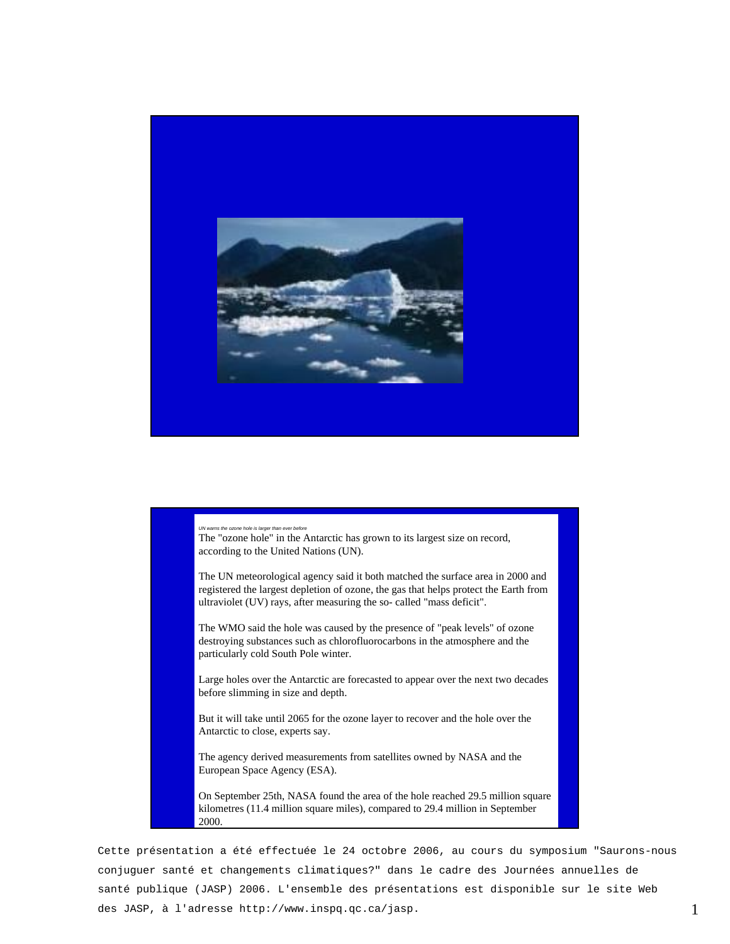

*UN warns the ozone hole is larger than ever before*  The "ozone hole" in the Antarctic has grown to its largest size on record, according to the United Nations (UN).

The UN meteorological agency said it both matched the surface area in 2000 and registered the largest depletion of ozone, the gas that helps protect the Earth from ultraviolet (UV) rays, after measuring the so- called "mass deficit".

The WMO said the hole was caused by the presence of "peak levels" of ozone destroying substances such as chlorofluorocarbons in the atmosphere and the particularly cold South Pole winter.

Large holes over the Antarctic are forecasted to appear over the next two decades before slimming in size and depth.

But it will take until 2065 for the ozone layer to recover and the hole over the Antarctic to close, experts say.

The agency derived measurements from satellites owned by NASA and the European Space Agency (ESA).

On September 25th, NASA found the area of the hole reached 29.5 million square kilometres (11.4 million square miles), compared to 29.4 million in September 2000.

Cette présentation a été effectuée le 24 octobre 2006, au cours du symposium "Saurons-nous conjuguer santé et changements climatiques?" dans le cadre des Journées annuelles de santé publique (JASP) 2006. L'ensemble des présentations est disponible sur le site Web des JASP, à l'adresse http://www.inspq.qc.ca/jasp.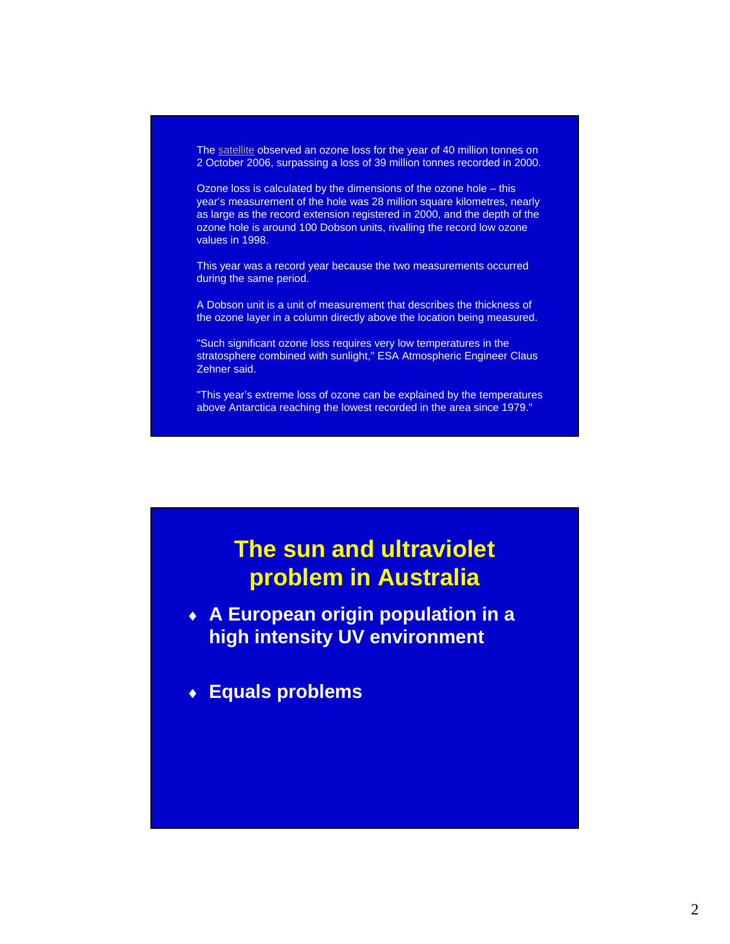The satellite observed an ozone loss for the year of 40 million tonnes on 2 October 2006, surpassing a loss of 39 million tonnes recorded in 2000.

Ozone loss is calculated by the dimensions of the ozone hole – this year's measurement of the hole was 28 million square kilometres, nearly as large as the record extension registered in 2000, and the depth of the ozone hole is around 100 Dobson units, rivalling the record low ozone values in 1998.

This year was a record year because the two measurements occurred during the same period.

A Dobson unit is a unit of measurement that describes the thickness of the ozone layer in a column directly above the location being measured.

"Such significant ozone loss requires very low temperatures in the stratosphere combined with sunlight," ESA Atmospheric Engineer Claus Zehner said.

"This year's extreme loss of ozone can be explained by the temperatures above Antarctica reaching the lowest recorded in the area since 1979."

### **The sun and ultraviolet problem in Australia**

♦ **A European origin population in a high intensity UV environment** 

♦ **Equals problems**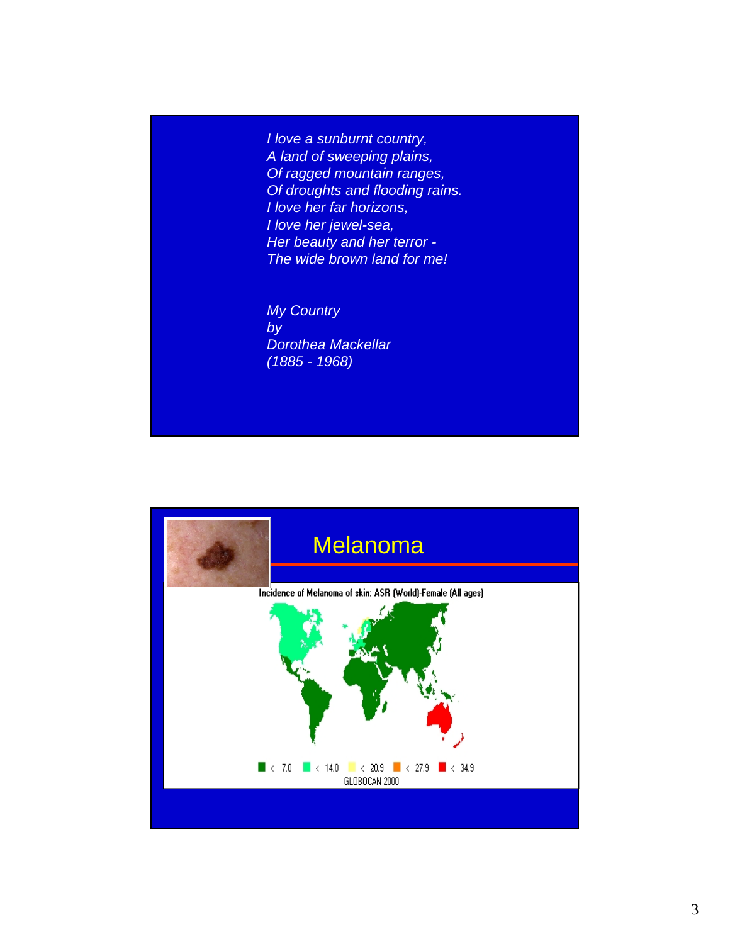*I love a sunburnt country, A land of sweeping plains, Of ragged mountain ranges, Of droughts and flooding rains. I love her far horizons, I love her jewel-sea, Her beauty and her terror - The wide brown land for me!*

*My Country by Dorothea Mackellar (1885 - 1968)*

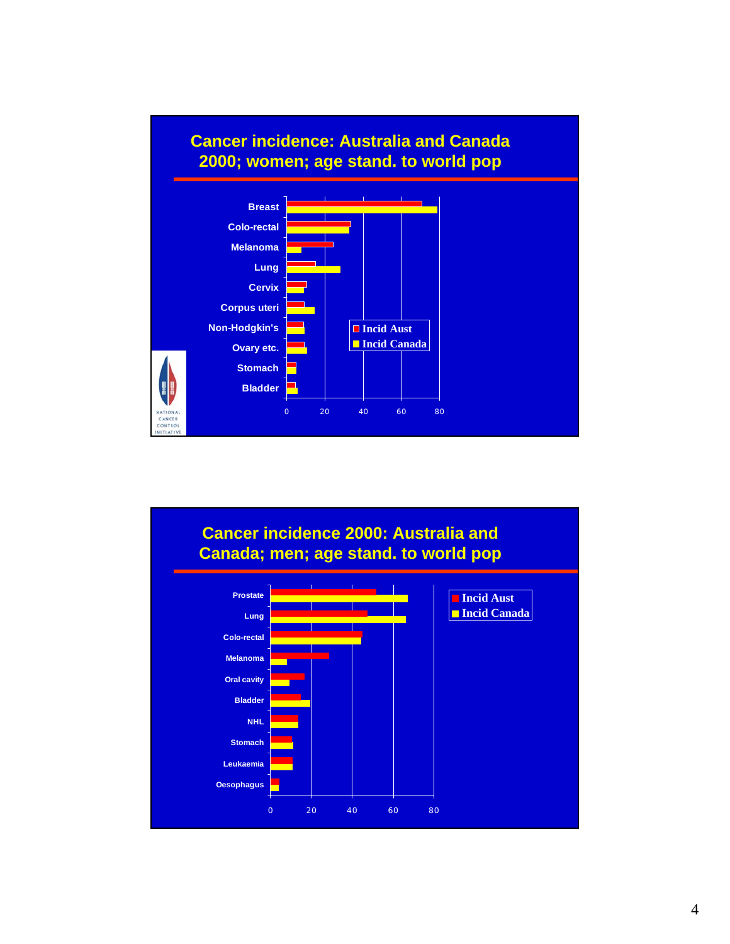

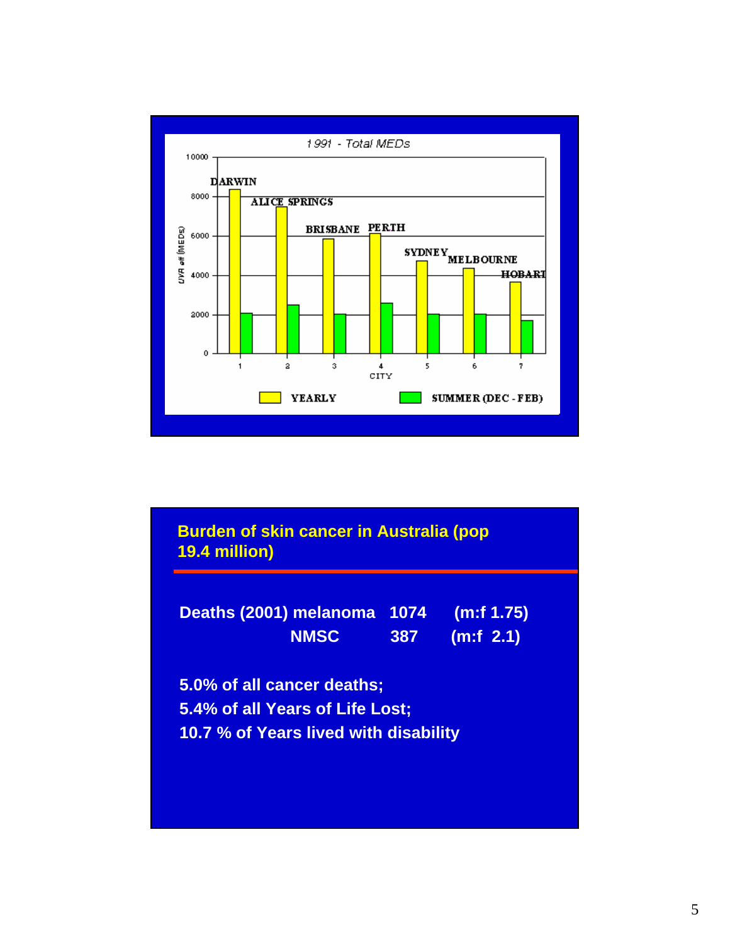

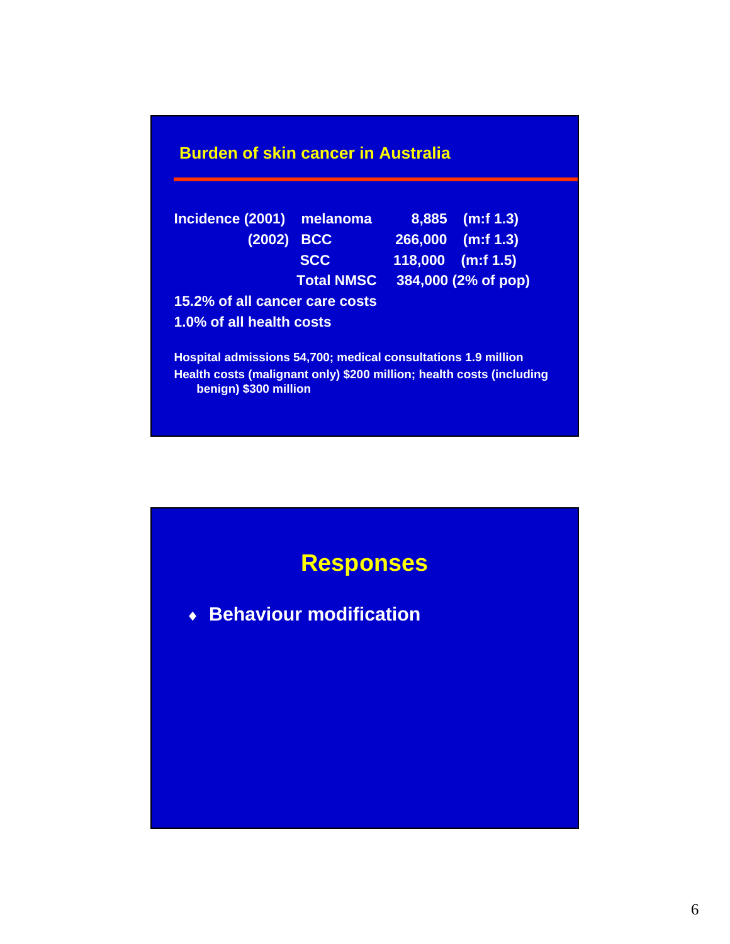|  |  | <b>Burden of skin cancer in Australia</b> |  |  |
|--|--|-------------------------------------------|--|--|
|  |  |                                           |  |  |

| Incidence (2001) melanoma      |                   |  | 8,885 (m:f 1.3)     |  |  |  |  |  |
|--------------------------------|-------------------|--|---------------------|--|--|--|--|--|
| (2002) BCC                     |                   |  | 266,000 (m:f 1.3)   |  |  |  |  |  |
|                                | <b>SCC</b>        |  | $118,000$ (m:f 1.5) |  |  |  |  |  |
|                                | <b>Total NMSC</b> |  | 384,000 (2% of pop) |  |  |  |  |  |
| 15.2% of all cancer care costs |                   |  |                     |  |  |  |  |  |
| 1.0% of all health costs       |                   |  |                     |  |  |  |  |  |
|                                |                   |  |                     |  |  |  |  |  |

**Hospital admissions 54,700; medical consultations 1.9 million Health costs (malignant only) \$200 million; health costs (including benign) \$300 million**

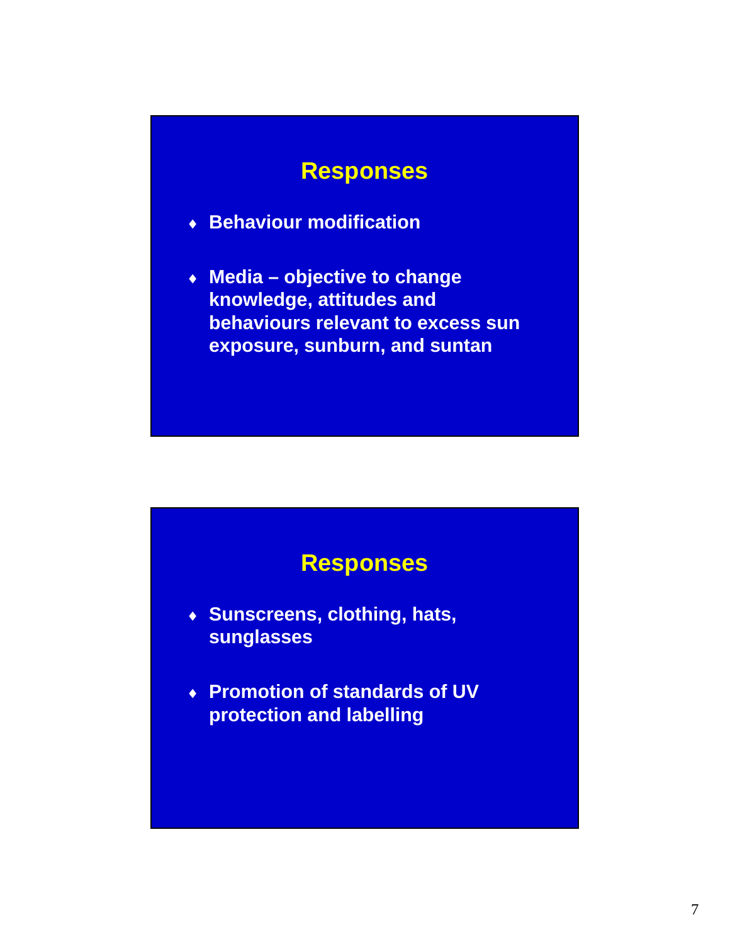#### **Responses**

- ♦ **Behaviour modification**
- ♦ **Media objective to change knowledge, attitudes and behaviours relevant to excess sun exposure, sunburn, and suntan**

#### **Responses**

- ♦ **Sunscreens, clothing, hats, sunglasses**
- ♦ **Promotion of standards of UV protection and labelling**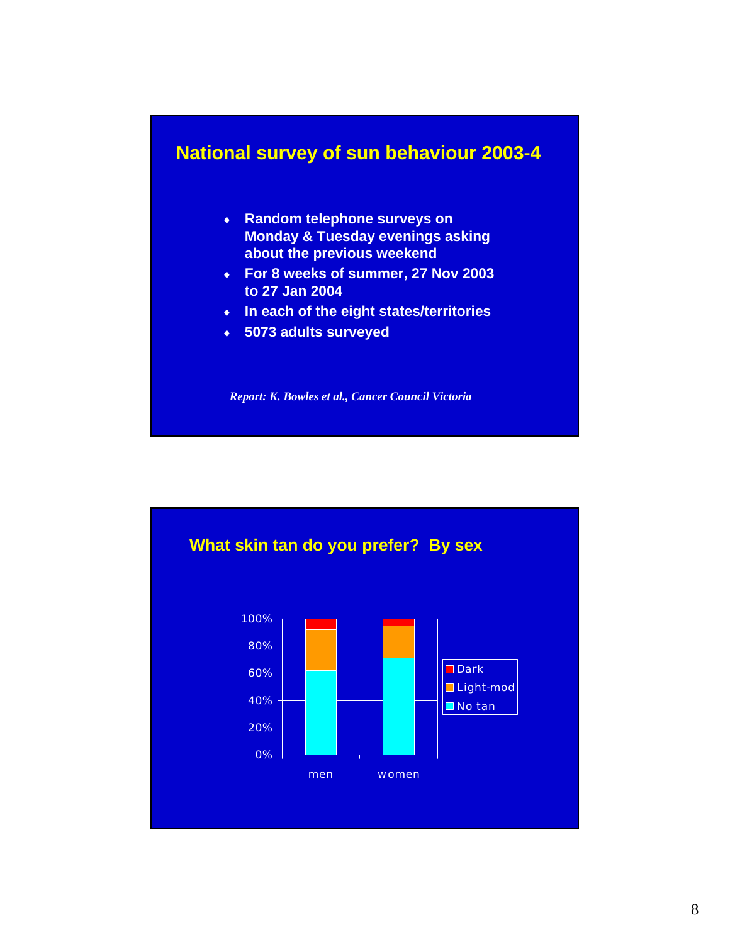#### **National survey of sun behaviour 2003-4**

- ♦ **Random telephone surveys on Monday & Tuesday evenings asking about the previous weekend**
- ♦ **For 8 weeks of summer, 27 Nov 2003 to 27 Jan 2004**
- ♦ **In each of the eight states/territories**
- ♦ **5073 adults surveyed**

*Report: K. Bowles et al., Cancer Council Victoria*

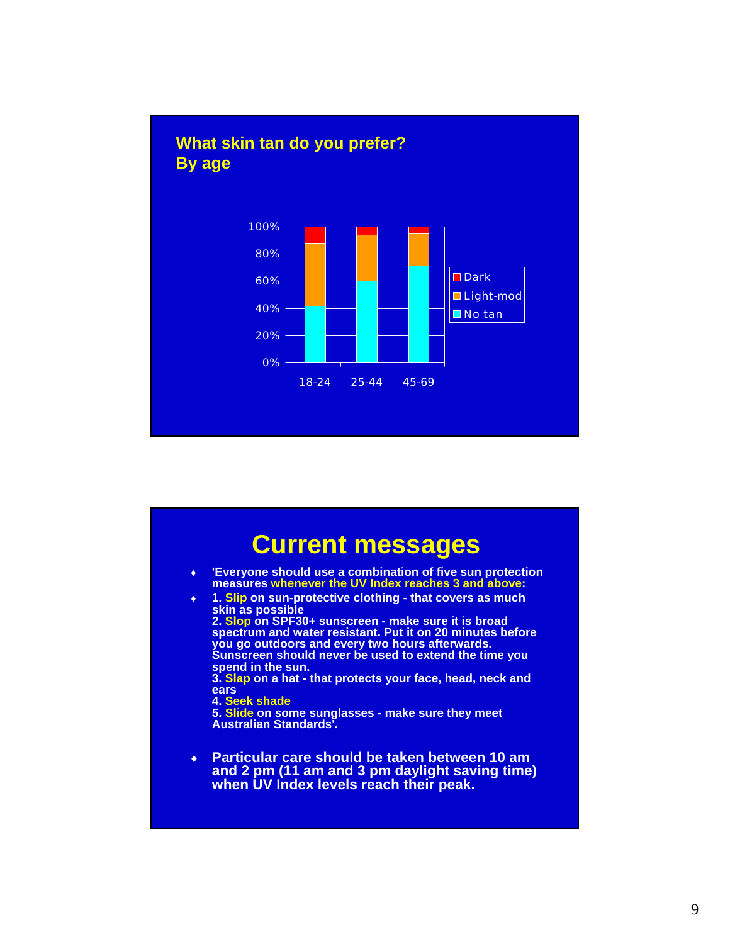

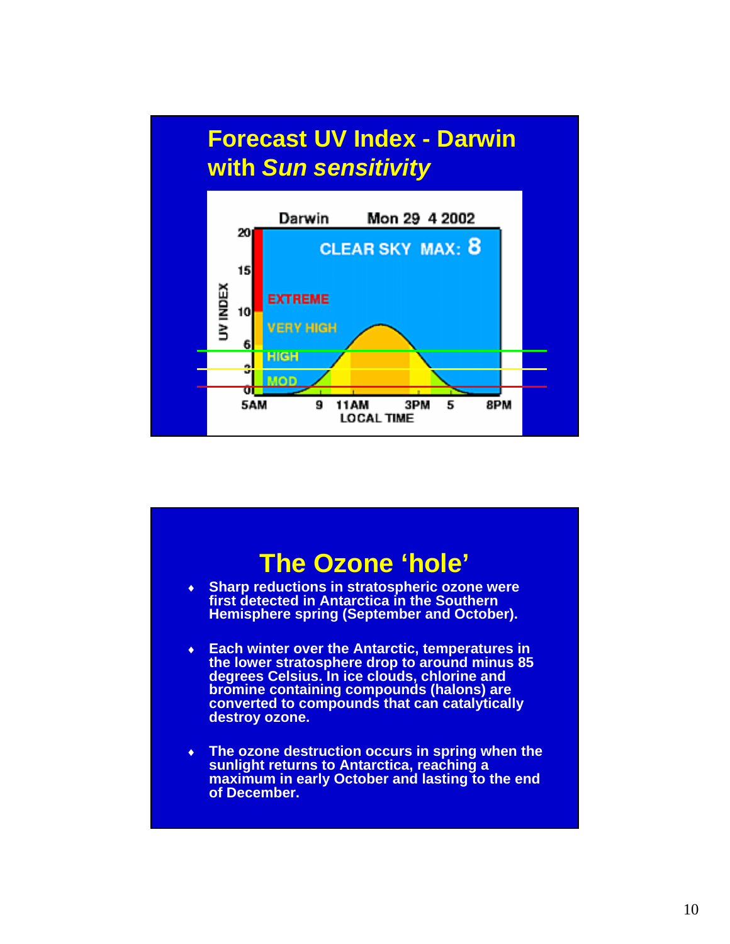

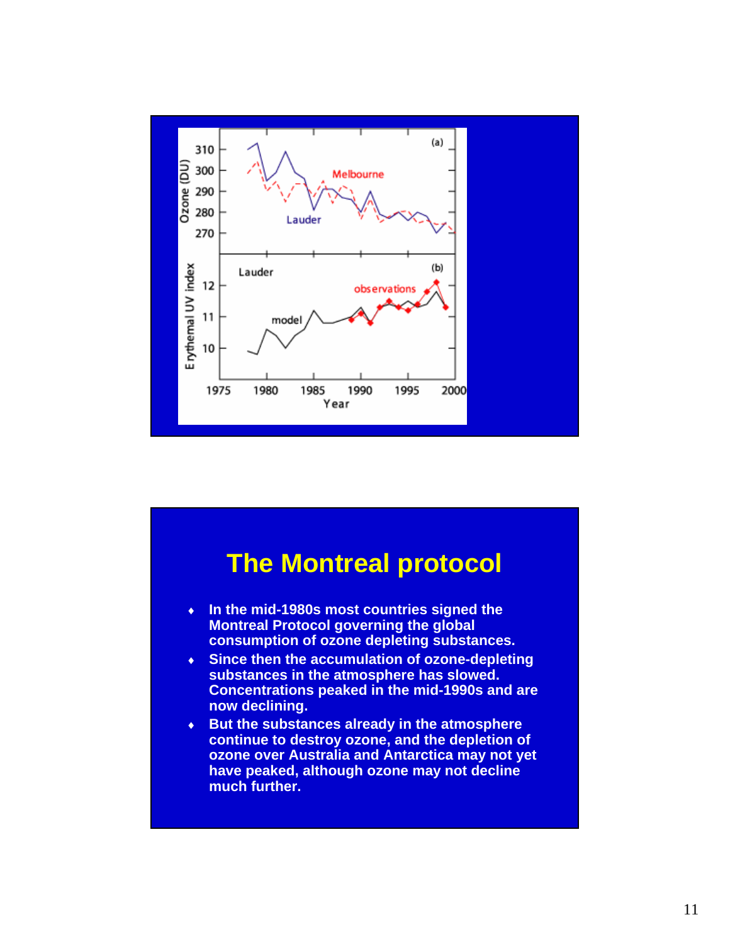

#### **The Montreal protocol** ♦ **In the mid-1980s most countries signed the Montreal Protocol governing the global consumption of ozone depleting substances.**  ♦ **Since then the accumulation of ozone-depleting substances in the atmosphere has slowed. Concentrations peaked in the mid-1990s and are now declining.**  ♦ **But the substances already in the atmosphere continue to destroy ozone, and the depletion of ozone over Australia and Antarctica may not yet have peaked, although ozone may not decline much further.**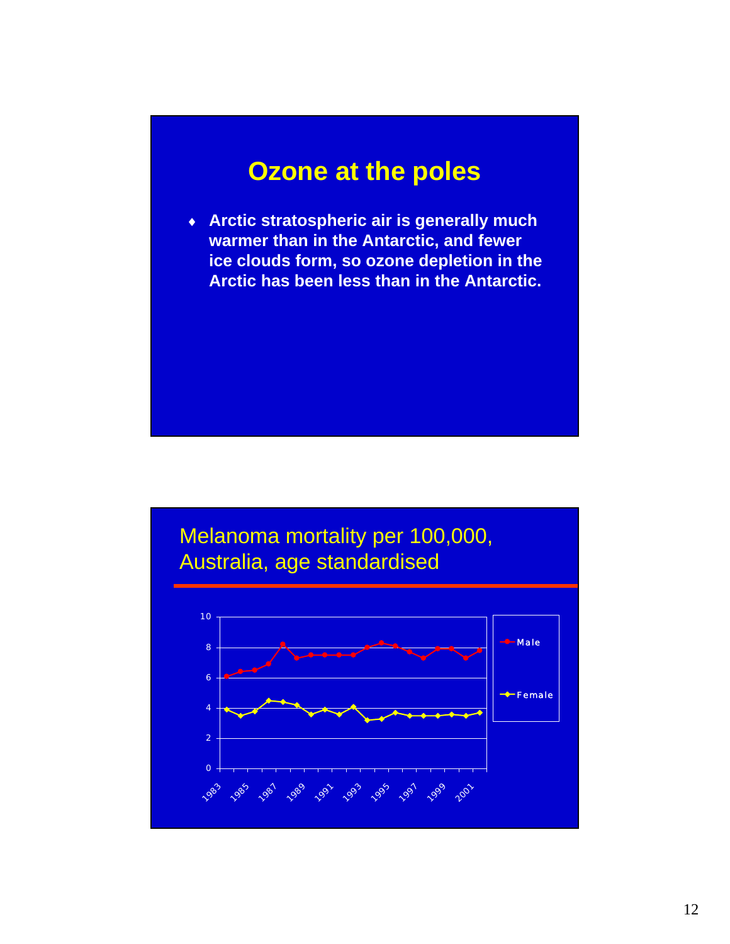### **Ozone at the poles**

♦ **Arctic stratospheric air is generally much warmer than in the Antarctic, and fewer ice clouds form, so ozone depletion in the Arctic has been less than in the Antarctic.**

#### Melanoma mortality per 100,000, Australia, age standardised

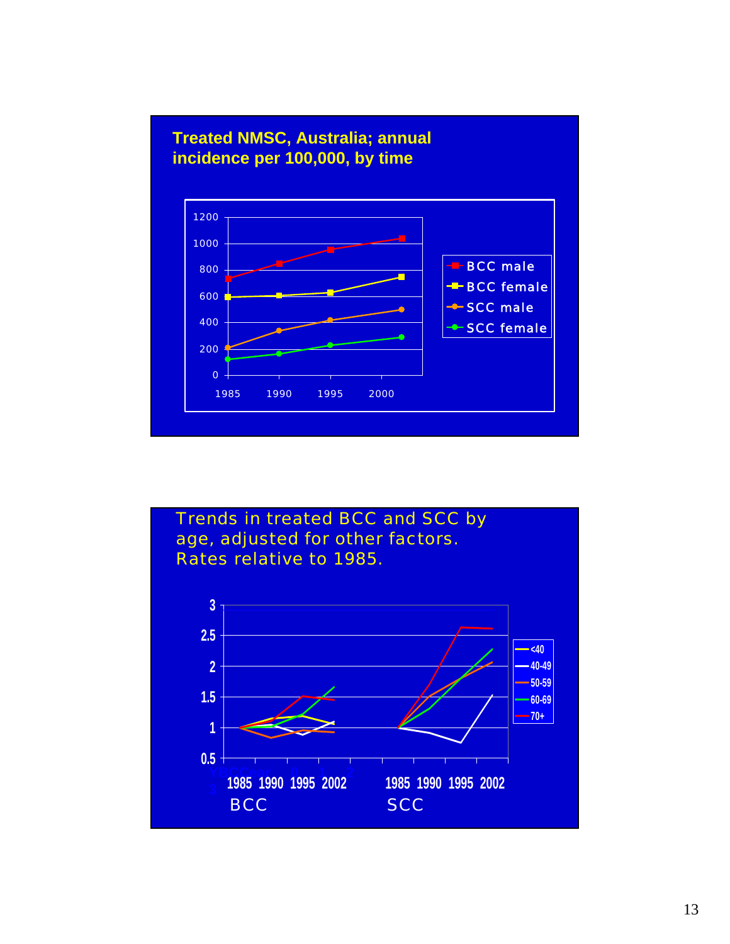

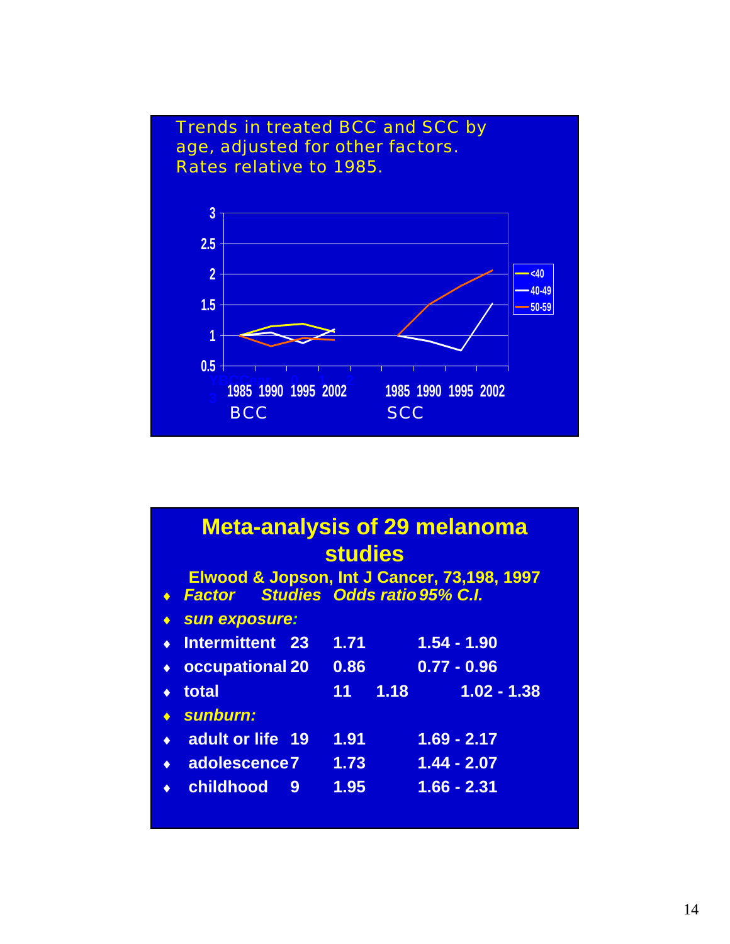

#### **Meta-analysis of 29 melanoma studies**

| ◆ Factor Studies Odds ratio 95% C.I. |     |      |                 | Elwood & Jopson, Int J Cancer, 73,198, 1997 |
|--------------------------------------|-----|------|-----------------|---------------------------------------------|
| ◆ Sun exposure:                      |     |      |                 |                                             |
| $\cdot$ Intermittent 23              |     | 1.71 |                 | $1.54 - 1.90$                               |
| ◆ occupational 20                    |     | 0.86 |                 | $0.77 - 0.96$                               |
| $\bullet$ total                      |     |      | $11 \quad 1.18$ | $1.02 - 1.38$                               |
| $\bullet$ sunburn:                   |     |      |                 |                                             |
| ◆ adult or life 19                   |     | 1.91 |                 | $1.69 - 2.17$                               |
| ◆ adolescence7 1.73                  |     |      |                 | $1.44 - 2.07$                               |
| ◆ childhood                          | - 9 | 1.95 |                 | $1.66 - 2.31$                               |
|                                      |     |      |                 |                                             |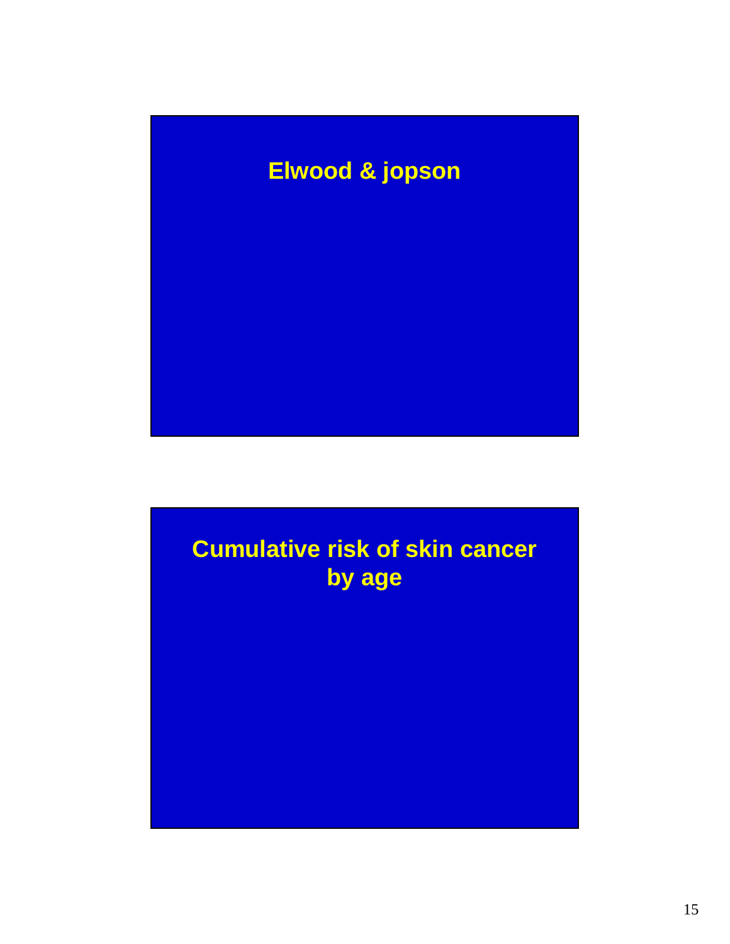# **Elwood & jopson**

# **Cumulative risk of skin cancer by age**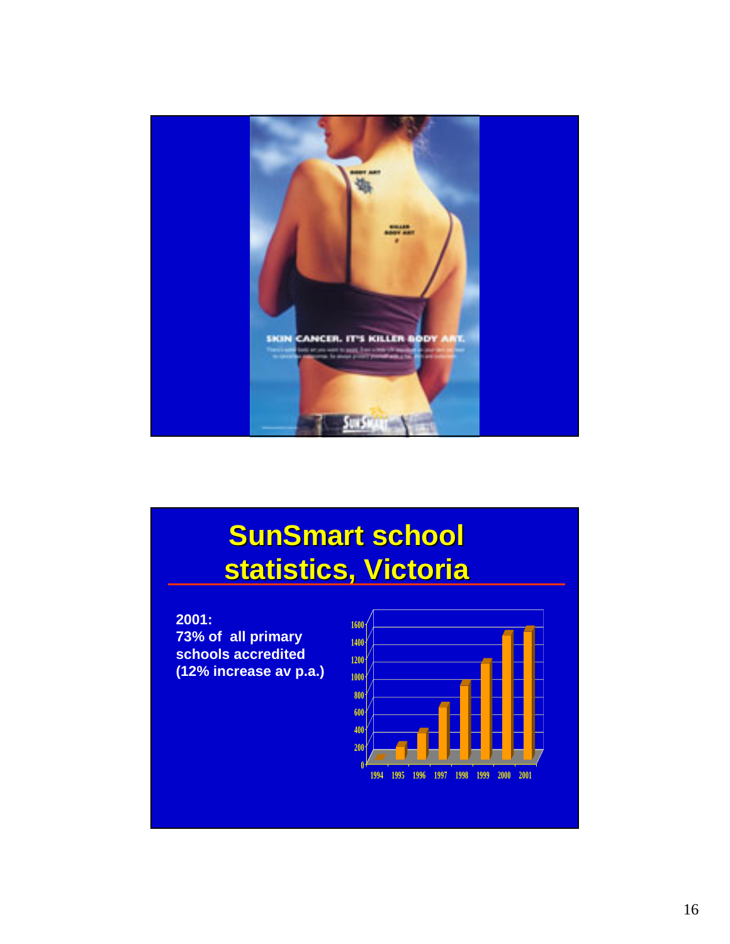

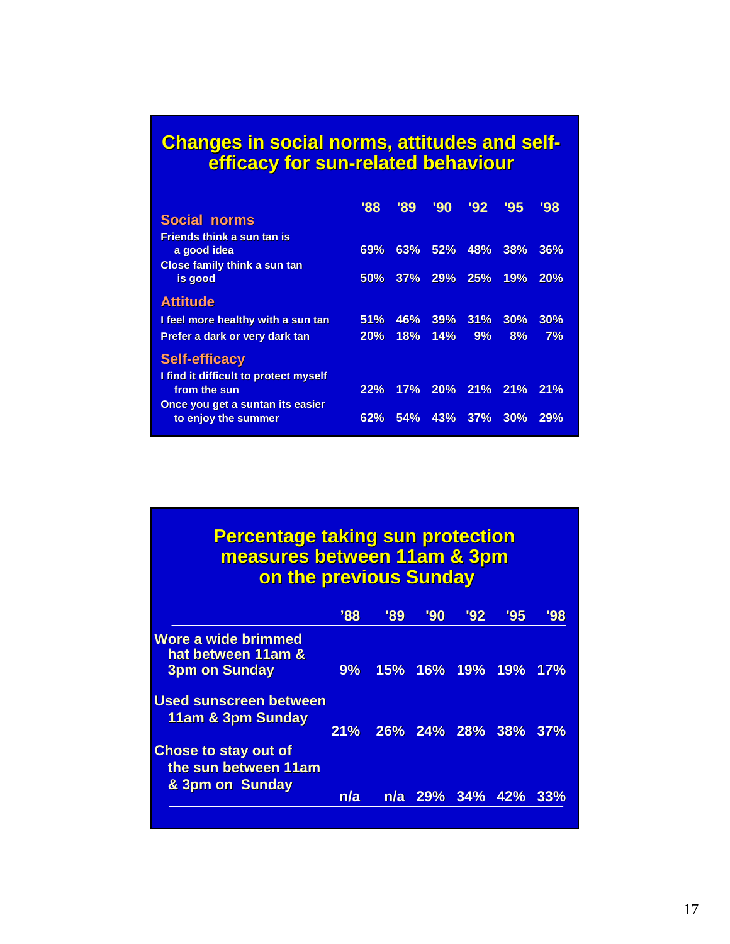#### **Changes in social norms, attitudes and selfefficacy for sun efficacy for sun-related behaviour related behaviour**

|                                                                                         | '88 | '89 | '90     | '92 | '95 | '98 |
|-----------------------------------------------------------------------------------------|-----|-----|---------|-----|-----|-----|
| <b>Social norms</b>                                                                     |     |     |         |     |     |     |
| <b>Friends think a sun tan is</b><br>a good idea<br><b>Close family think a sun tan</b> | 69% | 63% | 52%     | 48% | 38% | 36% |
| is good                                                                                 | 50% |     | 37% 29% | 25% | 19% | 20% |
| <b>Attitude</b>                                                                         |     |     |         |     |     |     |
| I feel more healthy with a sun tan                                                      | 51% | 46% | 39%     | 31% | 30% | 30% |
| Prefer a dark or very dark tan                                                          | 20% | 18% | 14%     | 9%  | 8%  | 7%  |
| <b>Self-efficacy</b><br>I find it difficult to protect myself                           |     |     |         |     |     |     |
| from the sun                                                                            | 22% | 17% | 20%     | 21% | 21% | 21% |
| Once you get a suntan its easier<br>to enjoy the summer                                 | 62% | 54% | 43%     | 37% | 30% | 29% |

#### **Percentage taking sun protection measures between 11am & 3pm on the previous Sunday**

|                                                                   | 38' | '89 | '90 | '92             | '95 | '98 |
|-------------------------------------------------------------------|-----|-----|-----|-----------------|-----|-----|
| Wore a wide brimmed<br>hat between 11am &<br><b>3pm on Sunday</b> | 9%  |     |     | 15% 16% 19% 19% |     | 17% |
| <b>Used sunscreen between</b><br>11am & 3pm Sunday                | 21% |     |     | 26% 24% 28% 38% |     | 37% |
| Chose to stay out of<br>the sun between 11am<br>& 3pm on Sunday   |     |     |     |                 |     |     |
|                                                                   | n/a |     |     | n/a 29% 34% 42% |     | 33% |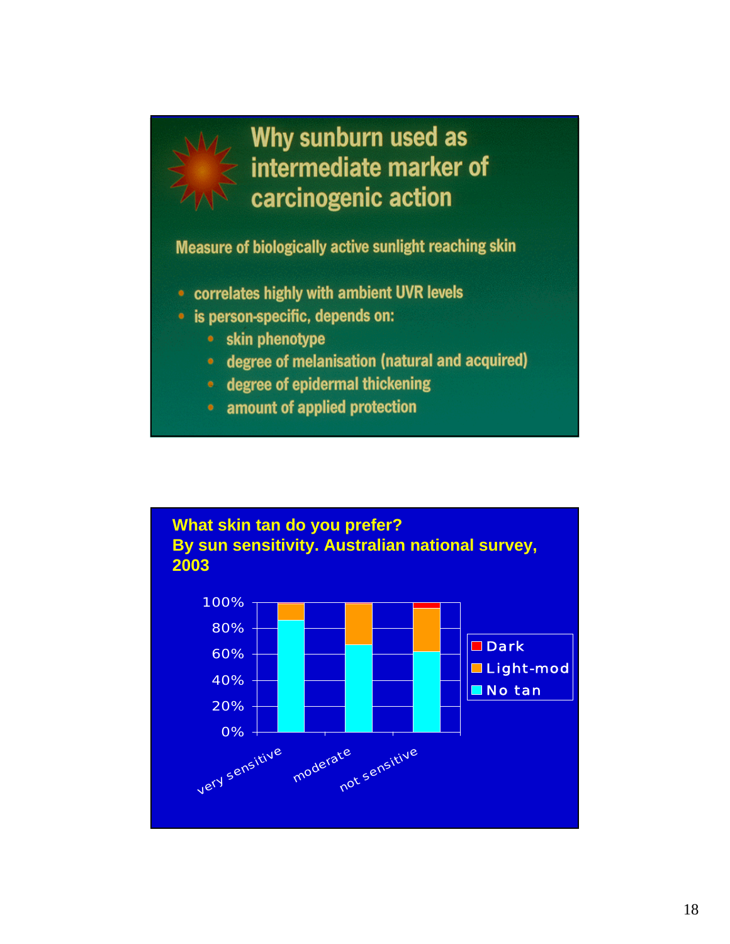

# Why sunburn used as intermediate marker of carcinogenic action

Measure of biologically active sunlight reaching skin

- correlates highly with ambient UVR levels
- · is person-specific, depends on:
	- skin phenotype
	- degree of melanisation (natural and acquired)
	- degree of epidermal thickening
	- amount of applied protection

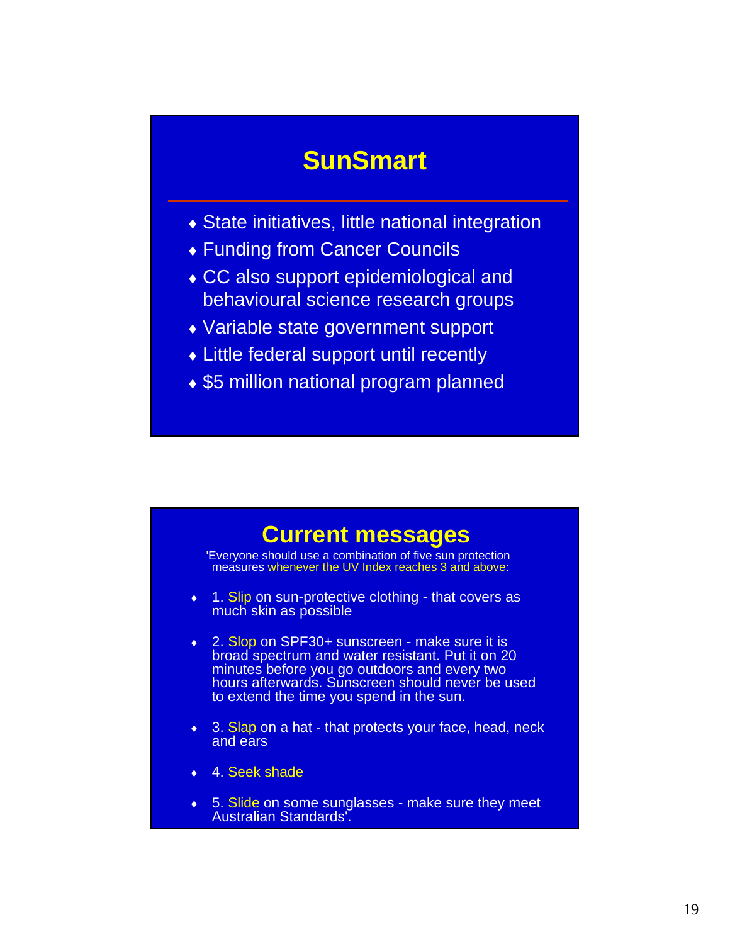## **SunSmart**

- $\triangle$  State initiatives, little national integration
- ♦ Funding from Cancer Councils
- ♦ CC also support epidemiological and behavioural science research groups
- ♦ Variable state government support
- ♦ Little federal support until recently
- ♦ \$5 million national program planned

#### **Current messages**

'Everyone should use a combination of five sun protection measures whenever the UV Index reaches 3 and above:

- ♦ 1. Slip on sun-protective clothing that covers as much skin as possible
- ♦ 2. Slop on SPF30+ sunscreen make sure it is broad spectrum and water resistant. Put it on 20 minutes before you go outdoors and every two hours afterwards. Sunscreen should never be used to extend the time you spend in the sun.
- ♦ 3. Slap on a hat that protects your face, head, neck and ears
- 4. Seek shade
- 5. Slide on some sunglasses make sure they meet<br>Australian Standards'.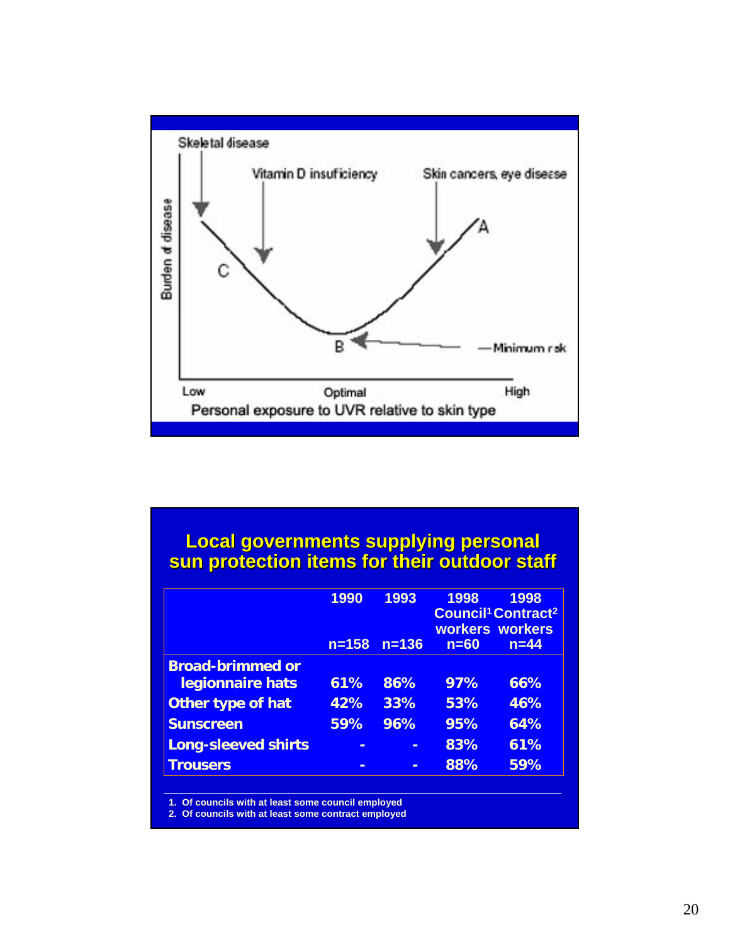

#### **Local governments supplying personal sun protection items for their outdoor staff sun protection items for their outdoor staff**

|                            | 1990<br>$n = 158$ | 1993<br>$n = 136$ | 1998<br>$n=60$ | 1998<br><b>Council<sup>1</sup> Contract<sup>2</sup></b><br>workers workers<br>$n = 44$ |
|----------------------------|-------------------|-------------------|----------------|----------------------------------------------------------------------------------------|
| <b>Broad-brimmed or</b>    |                   |                   |                |                                                                                        |
| legionnaire hats           | 61%               | 86%               | 97%            | 66%                                                                                    |
| Other type of hat          | 42%               | 33%               | 53%            | 46%                                                                                    |
| <b>Sunscreen</b>           | 59%               | 96%               | 95%            | 64%                                                                                    |
| <b>Long-sleeved shirts</b> |                   |                   | 83%            | 61%                                                                                    |
| <b>Trousers</b>            |                   |                   | 88%            | 59%                                                                                    |

**1. Of councils with at least some council employed**

**2. Of councils with at least some contract employed**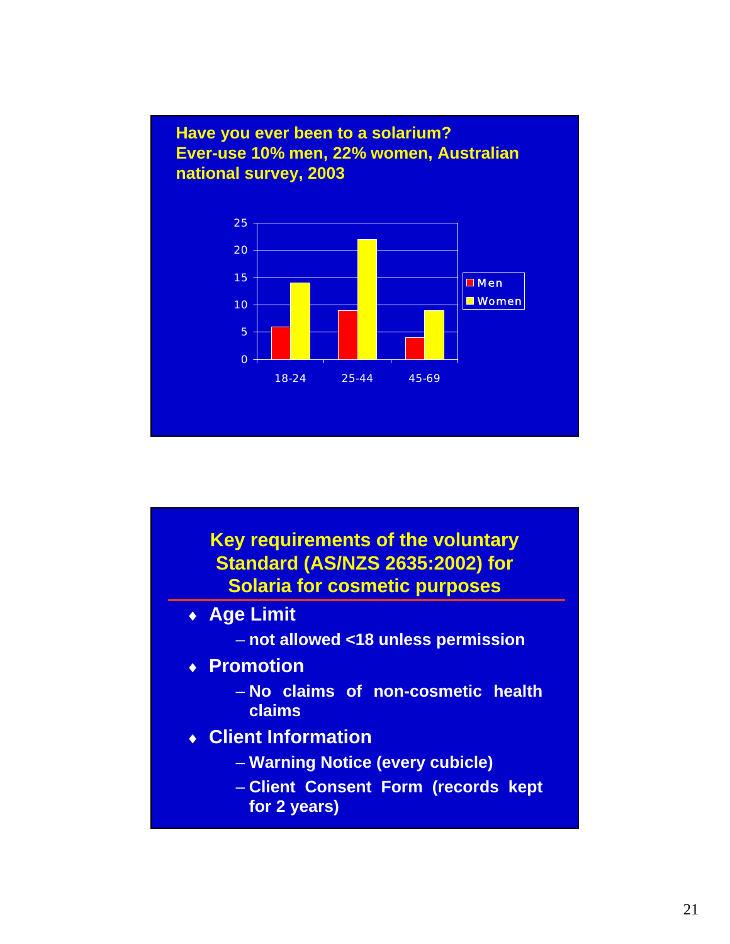

#### **Key requirements of the voluntary Standard (AS/NZS 2635:2002) for Solaria for cosmetic purposes**

- ♦ **Age Limit**
	- **not allowed <18 unless permission**
- ♦ **Promotion**
	- **No claims of non-cosmetic health claims**
- ♦ **Client Information**
	- **Warning Notice (every cubicle)**
	- **Client Consent Form (records kept for 2 years)**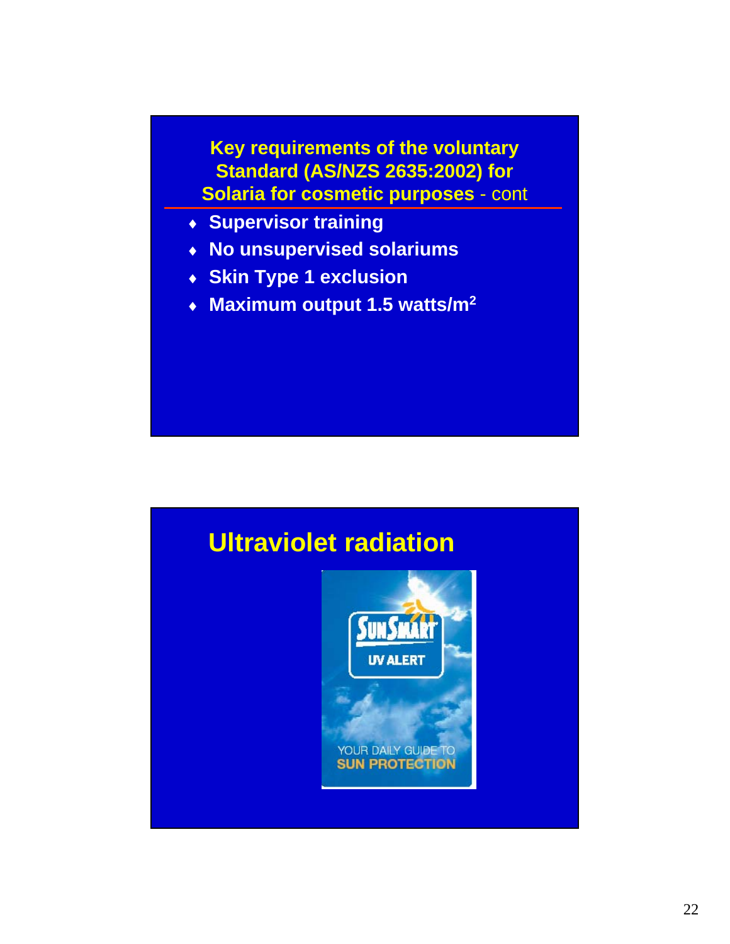**Key requirements of the voluntary Standard (AS/NZS 2635:2002) for Solaria for cosmetic purposes** - cont

- ♦ **Supervisor training**
- ♦ **No unsupervised solariums**
- ♦ **Skin Type 1 exclusion**
- ♦ **Maximum output 1.5 watts/m2**

# **Ultraviolet radiationUV ALERT** YOUR DAILY GUIDE TO **SUN PROTECTION**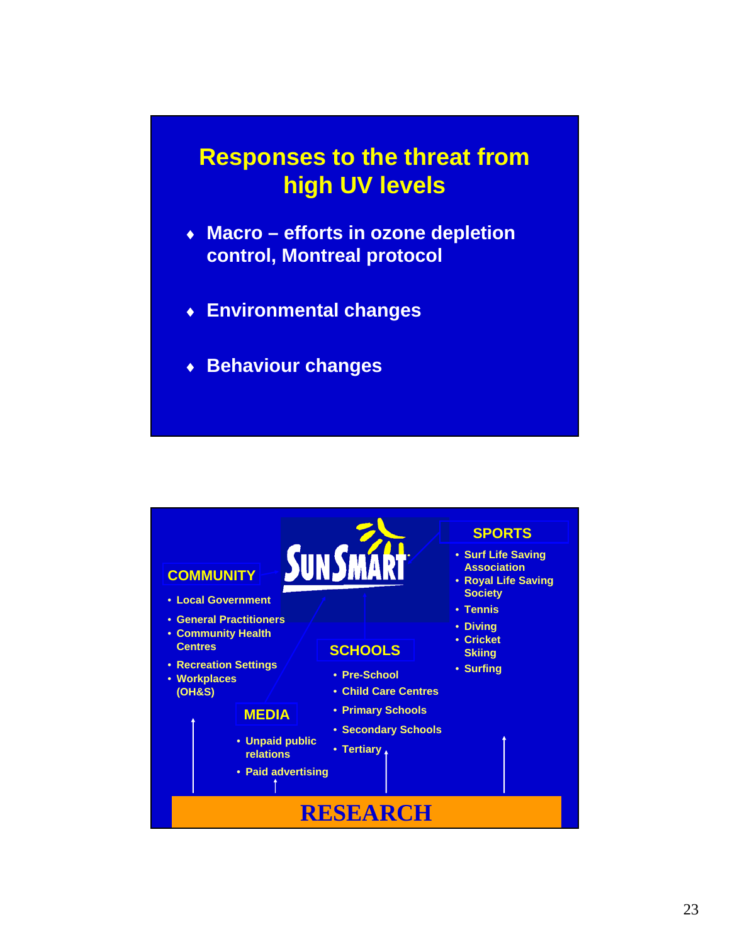#### **Responses to the threat from high UV levels**

- ♦ **Macro efforts in ozone depletion control, Montreal protocol**
- ♦ **Environmental changes**
- ♦ **Behaviour changes**

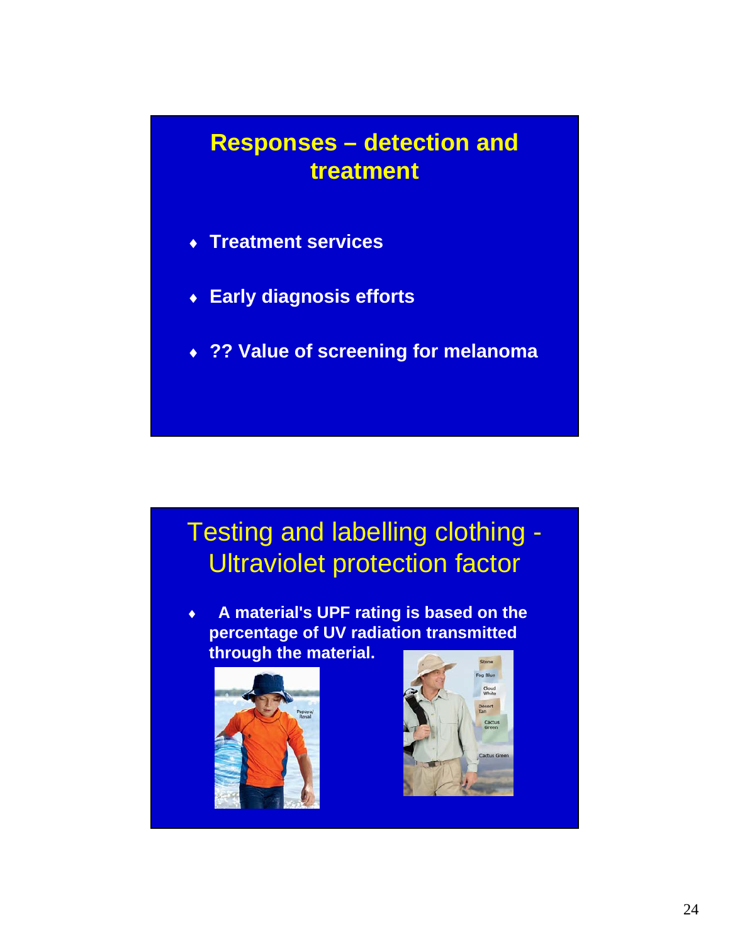### **Responses – detection and treatment**

- ♦ **Treatment services**
- ♦ **Early diagnosis efforts**
- ♦ **?? Value of screening for melanoma**

# Testing and labelling clothing - Ultraviolet protection factor

♦ **A material's UPF rating is based on the percentage of UV radiation transmitted through the material.**



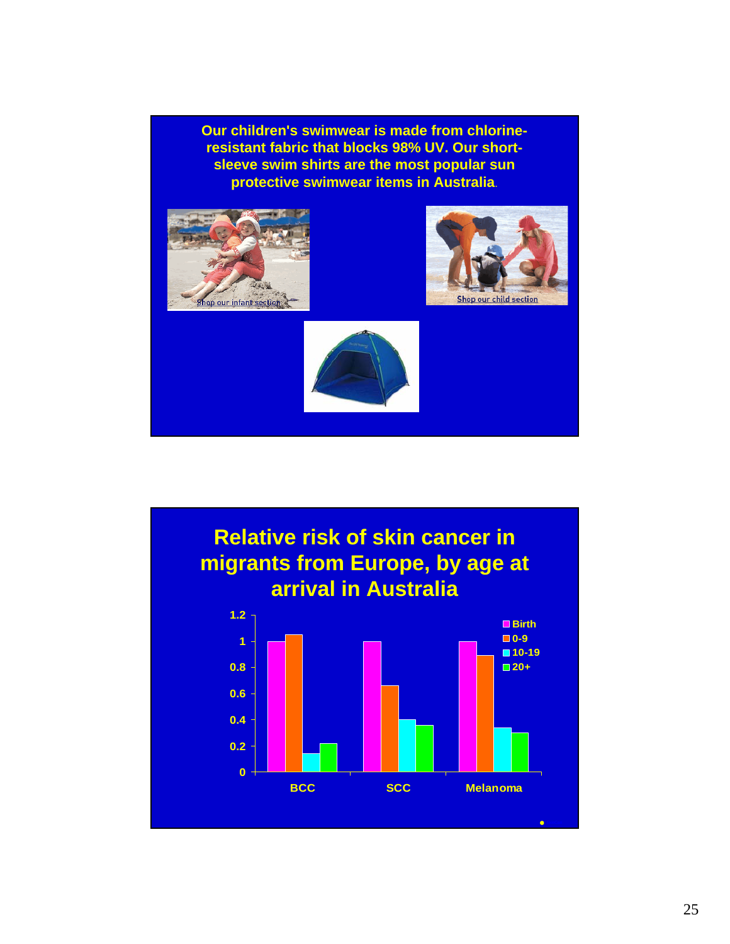**Our children's swimwear is made from chlorineresistant fabric that blocks 98% UV. Our shortsleeve swim shirts are the most popular sun protective swimwear items in Australia**.



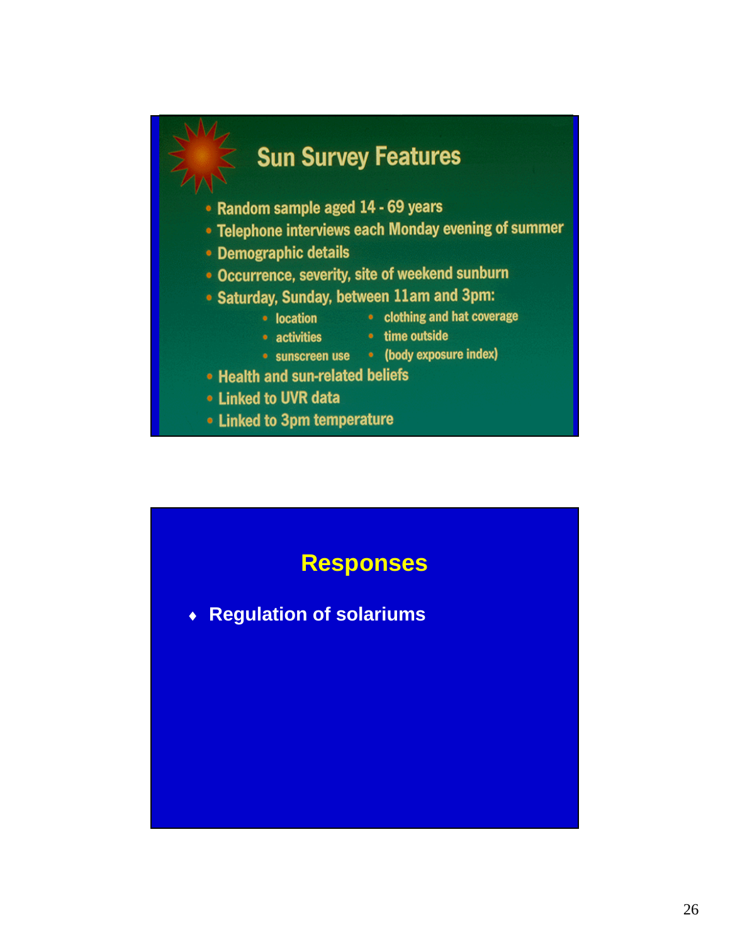

![](_page_25_Figure_1.jpeg)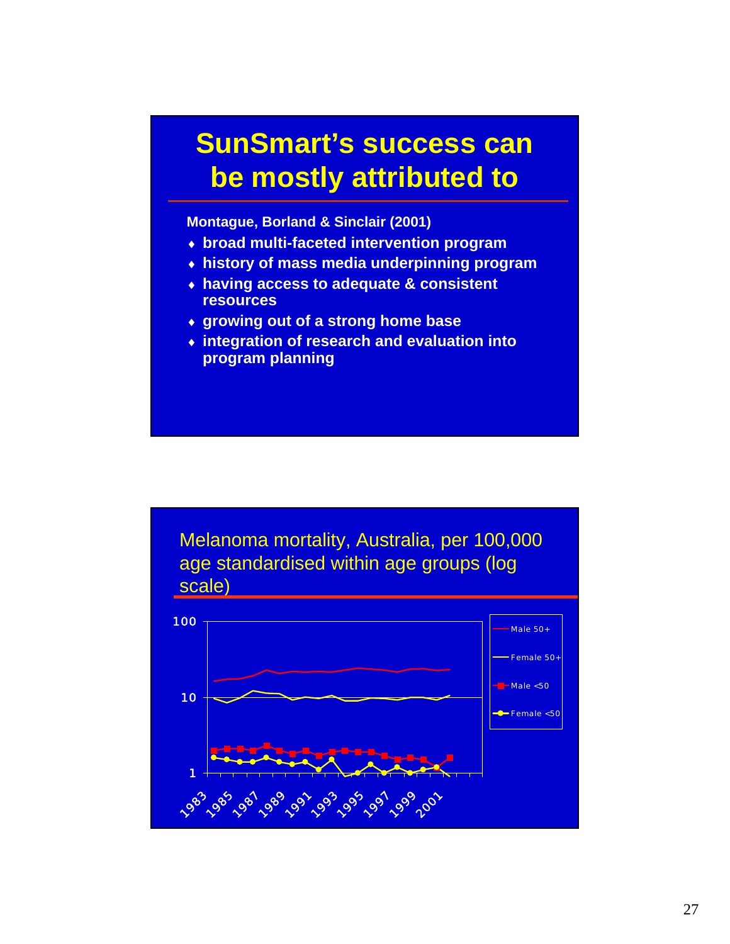# **SunSmart's success can be mostly attributed to**

**Montague, Borland & Sinclair (2001)**

- ♦ **broad multi-faceted intervention program**
- ♦ **history of mass media underpinning program**
- ♦ **having access to adequate & consistent resources**
- ♦ **growing out of a strong home base**
- ♦ **integration of research and evaluation into program planning**

Melanoma mortality, Australia, per 100,000 age standardised within age groups (log scale)

![](_page_26_Figure_8.jpeg)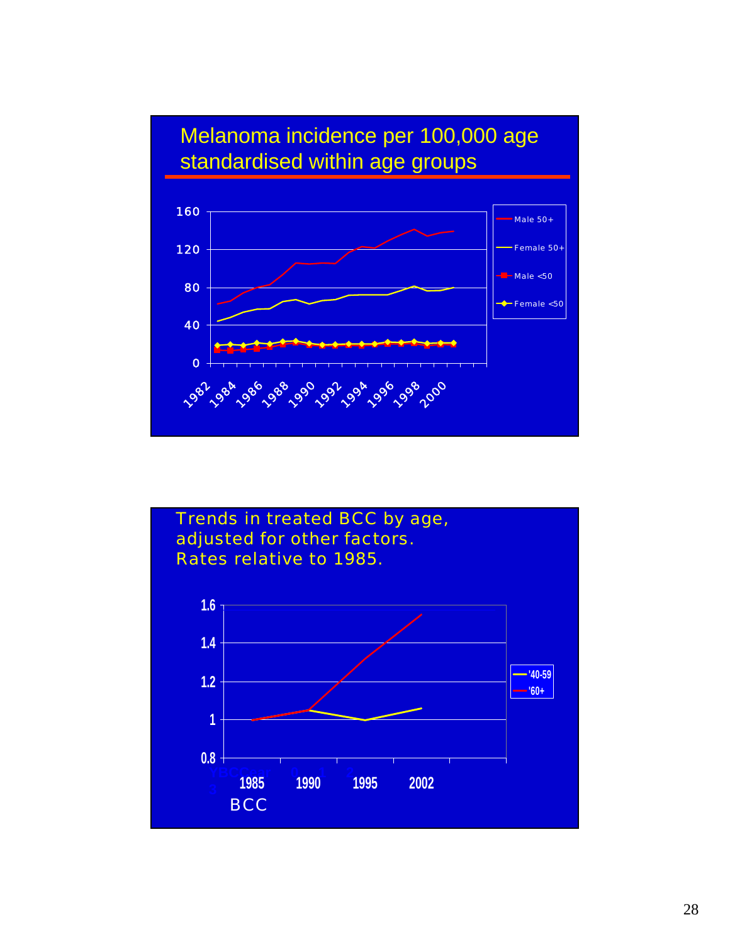![](_page_27_Figure_0.jpeg)

![](_page_27_Figure_1.jpeg)